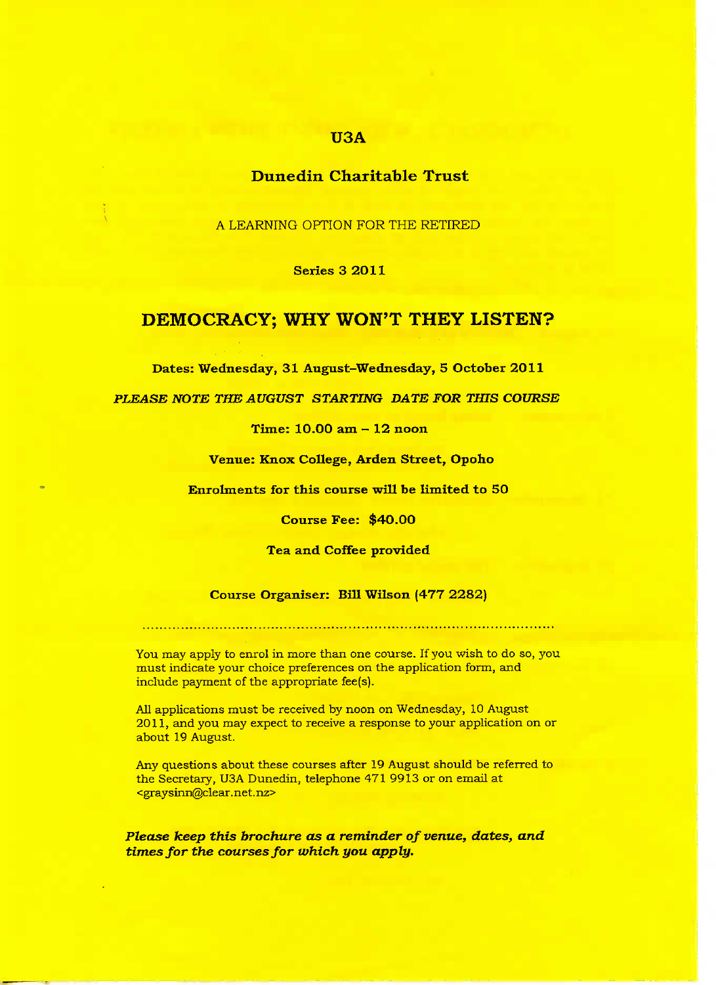### **U3A**

## **Dunedin Charitable Trust**

A LEARNING OPTION FOR THE RETIRED

**Series 3 2011**

## **DEMOCRACY; WHY WON'T THEY LISTEN?**

**Dates: Wednesday, 31 August-Wednesday, 5 October 2011**

*PLEASE NOTE THE AUGUST STARTING DATE FOR THIS COURSE*

**Time: 10.00 am - 12 noon**

**Venue: Knox College, Arden Street, Opoho**

**Enrolments for this course will be limited to 5O**

**Course Fee: \$40.00**

**Tea and Coffee provided**

**Course Organiser: Bill Wilson (477 2282)**

You may apply to enrol in more than one course. If you wish to do so, you must indicate your choice preferences on the application form, and include payment of the appropriate fee(s).

All applications must be received by noon on Wednesday, 10 August 2011, and you may expect to receive a response to your application on or about 19 August.

Any questions about these courses after 19 August should be referred to the Secretary, U3A Dunedin, telephone 471 9913 or on email at <gray sinn@clear. net. nz>

*Please keep this brochure as a reminder of venue, dates, and times for the courses for which you apply.*